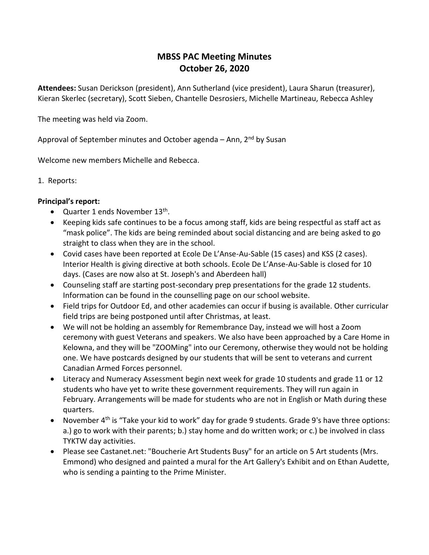## **MBSS PAC Meeting Minutes October 26, 2020**

**Attendees:** Susan Derickson (president), Ann Sutherland (vice president), Laura Sharun (treasurer), Kieran Skerlec (secretary), Scott Sieben, Chantelle Desrosiers, Michelle Martineau, Rebecca Ashley

The meeting was held via Zoom.

Approval of September minutes and October agenda – Ann,  $2<sup>nd</sup>$  by Susan

Welcome new members Michelle and Rebecca.

1. Reports:

## **Principal's report:**

- Quarter 1 ends November 13<sup>th</sup>.
- Keeping kids safe continues to be a focus among staff, kids are being respectful as staff act as "mask police". The kids are being reminded about social distancing and are being asked to go straight to class when they are in the school.
- Covid cases have been reported at Ecole De L'Anse-Au-Sable (15 cases) and KSS (2 cases). Interior Health is giving directive at both schools. Ecole De L'Anse-Au-Sable is closed for 10 days. (Cases are now also at St. Joseph's and Aberdeen hall)
- Counseling staff are starting post-secondary prep presentations for the grade 12 students. Information can be found in the counselling page on our school website.
- Field trips for Outdoor Ed, and other academies can occur if busing is available. Other curricular field trips are being postponed until after Christmas, at least.
- We will not be holding an assembly for Remembrance Day, instead we will host a Zoom ceremony with guest Veterans and speakers. We also have been approached by a Care Home in Kelowna, and they will be "ZOOMing" into our Ceremony, otherwise they would not be holding one. We have postcards designed by our students that will be sent to veterans and current Canadian Armed Forces personnel.
- Literacy and Numeracy Assessment begin next week for grade 10 students and grade 11 or 12 students who have yet to write these government requirements. They will run again in February. Arrangements will be made for students who are not in English or Math during these quarters.
- November  $4<sup>th</sup>$  is "Take your kid to work" day for grade 9 students. Grade 9's have three options: a.) go to work with their parents; b.) stay home and do written work; or c.) be involved in class TYKTW day activities.
- Please see Castanet.net: "Boucherie Art Students Busy" for an article on 5 Art students (Mrs. Emmond) who designed and painted a mural for the Art Gallery's Exhibit and on Ethan Audette, who is sending a painting to the Prime Minister.